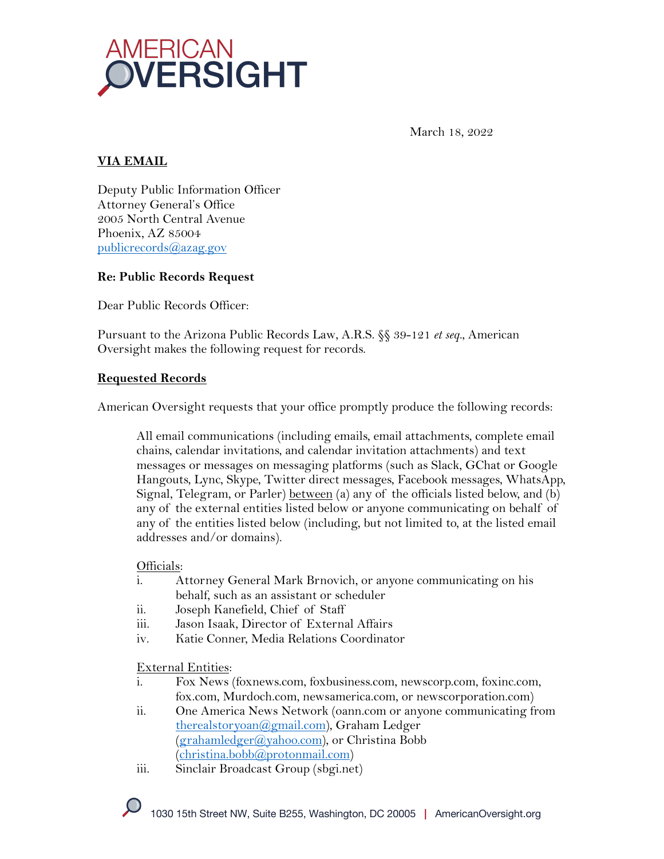

March 18, 2022

# **VIA EMAIL**

Deputy Public Information Officer Attorney General's Office 2005 North Central Avenue Phoenix, AZ 85004 publicrecords@azag.gov

#### **Re: Public Records Request**

Dear Public Records Officer:

Pursuant to the Arizona Public Records Law, A.R.S. §§ 39-121 *et seq.*, American Oversight makes the following request for records.

#### **Requested Records**

American Oversight requests that your office promptly produce the following records:

All email communications (including emails, email attachments, complete email chains, calendar invitations, and calendar invitation attachments) and text messages or messages on messaging platforms (such as Slack, GChat or Google Hangouts, Lync, Skype, Twitter direct messages, Facebook messages, WhatsApp, Signal, Telegram, or Parler) <u>between</u> (a) any of the officials listed below, and (b) any of the external entities listed below or anyone communicating on behalf of any of the entities listed below (including, but not limited to, at the listed email addresses and/or domains).

Officials:

- i. Attorney General Mark Brnovich, or anyone communicating on his behalf, such as an assistant or scheduler
- ii. Joseph Kanefield, Chief of Staff
- iii. Jason Isaak, Director of External Affairs
- iv. Katie Conner, Media Relations Coordinator

External Entities:

- i. Fox News (foxnews.com, foxbusiness.com, newscorp.com, foxinc.com, fox.com, Murdoch.com, newsamerica.com, or newscorporation.com)
- ii. One America News Network (oann.com or anyone communicating from therealstoryoan@gmail.com), Graham Ledger (grahamledger@yahoo.com), or Christina Bobb (christina.bobb@protonmail.com)
- iii. Sinclair Broadcast Group (sbgi.net)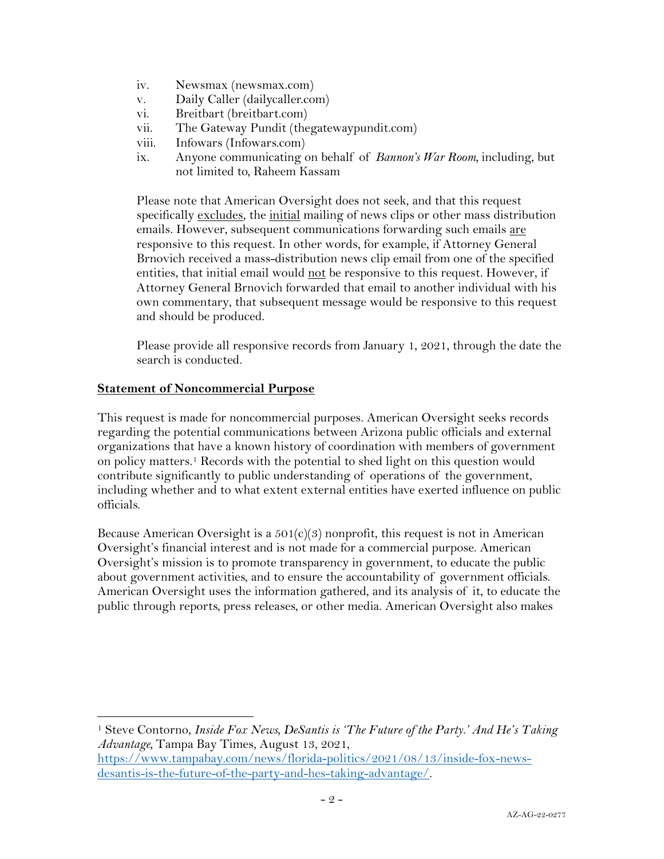- iv. Newsmax (newsmax.com)
- v. Daily Caller (dailycaller.com)
- vi. Breitbart (breitbart.com)
- vii. The Gateway Pundit (thegatewaypundit.com)
- viii. Infowars (Infowars.com)
- ix. Anyone communicating on behalf of *Bannon's War Room,* including, but not limited to, Raheem Kassam

Please note that American Oversight does not seek, and that this request specifically excludes, the initial mailing of news clips or other mass distribution emails. However, subsequent communications forwarding such emails are responsive to this request. In other words, for example, if Attorney General Brnovich received a mass-distribution news clip email from one of the specified entities, that initial email would not be responsive to this request. However, if Attorney General Brnovich forwarded that email to another individual with his own commentary, that subsequent message would be responsive to this request and should be produced.

Please provide all responsive records from January 1, 2021, through the date the search is conducted.

#### **Statement of Noncommercial Purpose**

This request is made for noncommercial purposes. American Oversight seeks records regarding the potential communications between Arizona public officials and external organizations that have a known history of coordination with members of government on policy matters. <sup>1</sup> Records with the potential to shed light on this question would contribute significantly to public understanding of operations of the government, including whether and to what extent external entities have exerted influence on public officials.

Because American Oversight is a  $501(c)(3)$  nonprofit, this request is not in American Oversight's financial interest and is not made for a commercial purpose. American Oversight's mission is to promote transparency in government, to educate the public about government activities, and to ensure the accountability of government officials. American Oversight uses the information gathered, and its analysis of it, to educate the public through reports, press releases, or other media. American Oversight also makes

<sup>1</sup> Steve Contorno, *Inside Fox News, DeSantis is 'The Future of the Party.' And He's Taking Advantage,* Tampa Bay Times, August 13, 2021,

https://www.tampabay.com/news/florida-politics/2021/08/13/inside-fox-newsdesantis-is-the-future-of-the-party-and-hes-taking-advantage/.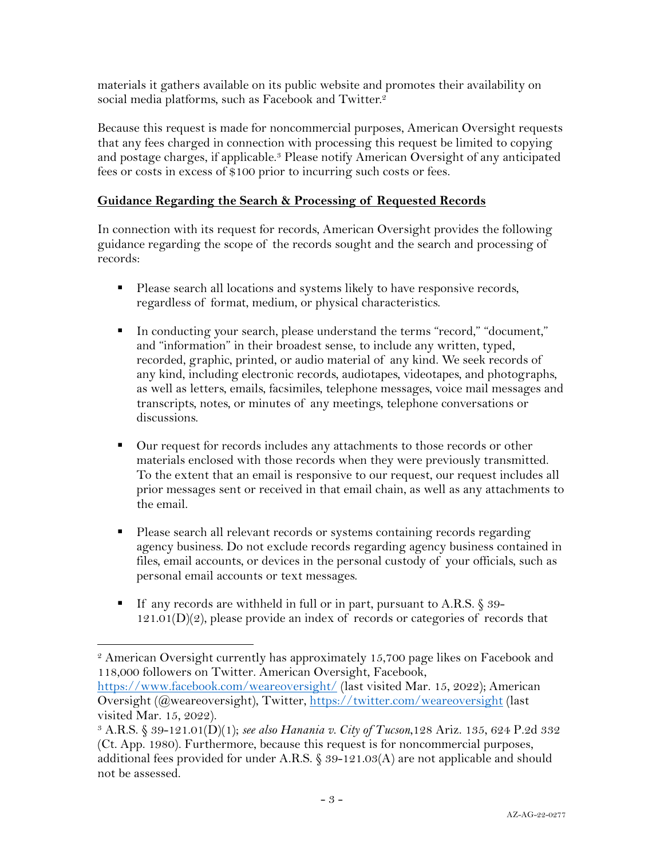materials it gathers available on its public website and promotes their availability on social media platforms, such as Facebook and Twitter.<sup>2</sup>

Because this request is made for noncommercial purposes, American Oversight requests that any fees charged in connection with processing this request be limited to copying and postage charges, if applicable.<sup>3</sup> Please notify American Oversight of any anticipated fees or costs in excess of \$100 prior to incurring such costs or fees.

## **Guidance Regarding the Search & Processing of Requested Records**

In connection with its request for records, American Oversight provides the following guidance regarding the scope of the records sought and the search and processing of records:

- Please search all locations and systems likely to have responsive records, regardless of format, medium, or physical characteristics.
- § In conducting your search, please understand the terms "record," "document," and "information" in their broadest sense, to include any written, typed, recorded, graphic, printed, or audio material of any kind. We seek records of any kind, including electronic records, audiotapes, videotapes, and photographs, as well as letters, emails, facsimiles, telephone messages, voice mail messages and transcripts, notes, or minutes of any meetings, telephone conversations or discussions.
- Our request for records includes any attachments to those records or other materials enclosed with those records when they were previously transmitted. To the extent that an email is responsive to our request, our request includes all prior messages sent or received in that email chain, as well as any attachments to the email.
- § Please search all relevant records or systems containing records regarding agency business. Do not exclude records regarding agency business contained in files, email accounts, or devices in the personal custody of your officials, such as personal email accounts or text messages.
- If any records are withheld in full or in part, pursuant to A.R.S. § 39- $121.01(D)(2)$ , please provide an index of records or categories of records that

<sup>2</sup> American Oversight currently has approximately 15,700 page likes on Facebook and 118,000 followers on Twitter. American Oversight, Facebook,

https://www.facebook.com/weareoversight/ (last visited Mar. 15, 2022); American Oversight (@weareoversight), Twitter, https://twitter.com/weareoversight (last visited Mar. 15, 2022).

<sup>3</sup> A.R.S. § 39-121.01(D)(1); *see also Hanania v. City of Tucson*,128 Ariz. 135, 624 P.2d 332 (Ct. App. 1980). Furthermore, because this request is for noncommercial purposes, additional fees provided for under A.R.S.  $\S 39-121.03(A)$  are not applicable and should not be assessed.